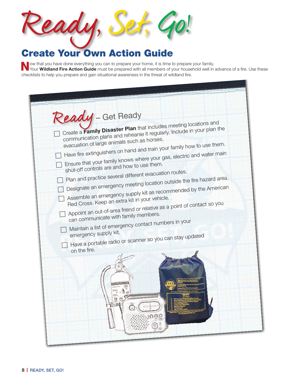| Paau.                               | $\mathcal{L}(1)$ |
|-------------------------------------|------------------|
| <b>Create Your Own Action Guide</b> |                  |

Now that you have done everything you can to prepare your home, it is time to prepare your family.<br>Your Wildland Fire Action Guide must be prepared with all members of your household well in advance of a fire. Use these checklists to help you prepare and gain situational awareness in the threat of wildland fire.

| Ready - Get Ready                     |                                                                                              |                                                                                                                                                 |  |
|---------------------------------------|----------------------------------------------------------------------------------------------|-------------------------------------------------------------------------------------------------------------------------------------------------|--|
|                                       | evacuation of large animals such as horses.                                                  | Create a Family Disaster Plan that includes meeting locations and<br>communication plans and rehearse it regularly. Include in your plan the    |  |
|                                       | shut-off controls are and how to use them.                                                   | Have fire extinguishers on hand and train your family how to use them.<br>Ensure that your family knows where your gas, electric and water main |  |
|                                       | Plan and practice several different evacuation routes.                                       | Designate an emergency meeting location outside the fire hazard area.                                                                           |  |
|                                       | Red Cross. Keep an extra kit in your vehicle.                                                | Assemble an emergency supply kit as recommended by the American<br>Appoint an out-of-area friend or relative as a point of contact so you       |  |
|                                       | can communicate with family members.<br>Maintain a list of emergency contact numbers in your |                                                                                                                                                 |  |
| emergency supply kit.<br>on the fire. | Have a portable radio or scanner so you can stay updated                                     |                                                                                                                                                 |  |
|                                       |                                                                                              |                                                                                                                                                 |  |
|                                       |                                                                                              |                                                                                                                                                 |  |
|                                       |                                                                                              |                                                                                                                                                 |  |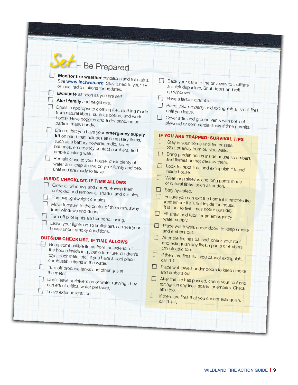| Monitor fire weather conditions and fire status.<br>See www.inciweb.org. Stay tuned to your TV<br>or local radio stations for updates.<br>Evacuate as soon as you are set!<br>Alert family and neighbors.<br>Dress in appropriate clothing (i.e., clothing made<br>from natural fibers, such as cotton, and work<br>boots). Have goggles and a dry bandana or<br>particle mask handy.<br>Ensure that you have your emergency supply<br>kit on hand that includes all necessary items,<br>such as a battery powered radio, spare<br>batteries, emergency contact numbers, and<br>ample drinking water.<br>Remain close to your house, drink plenty of<br>water and keep an eye on your family and pets<br>until you are ready to leave.                                                                          | Back your car into the driveway to facilitate<br>a quick departure. Shut doors and roll<br>up windows.<br>Have a ladder available.<br>Patrol your property and extinguish all small fires<br>until you leave.<br>Cover attic and ground vents with pre-cut<br>plywood or commercial seals if time permits.<br>IF YOU ARE TRAPPED: SURVIVAL TIPS<br>Stay in your home until fire passes.<br>Shelter away from outside walls.<br>Bring garden hoses inside house so embers<br>and flames do not destroy them.<br>$\Box$<br>Look for spot fires and extinguish if found<br>inside house.                                                                                                                                                                                                                                                            |
|-----------------------------------------------------------------------------------------------------------------------------------------------------------------------------------------------------------------------------------------------------------------------------------------------------------------------------------------------------------------------------------------------------------------------------------------------------------------------------------------------------------------------------------------------------------------------------------------------------------------------------------------------------------------------------------------------------------------------------------------------------------------------------------------------------------------|--------------------------------------------------------------------------------------------------------------------------------------------------------------------------------------------------------------------------------------------------------------------------------------------------------------------------------------------------------------------------------------------------------------------------------------------------------------------------------------------------------------------------------------------------------------------------------------------------------------------------------------------------------------------------------------------------------------------------------------------------------------------------------------------------------------------------------------------------|
| <b>INSIDE CHECKLIST, IF TIME ALLOWS</b><br>Close all windows and doors, leaving them<br>unlocked and remove all shades and curtains.<br>Remove lightweight curtains.<br>Move furniture to the center of the room, away<br>from windows and doors.<br>Turn off pilot lights and air conditioning.<br>Leave your lights on so firefighters can see your<br>house under smoky conditions.<br><b>OUTSIDE CHECKLIST, IF TIME ALLOWS</b><br>Bring combustible items from the exterior of<br>the house inside (e.g., patio furniture, children's<br>toys, door mats, etc.) If you have a pool place<br>combustible items in the water.<br>Turn off propane tanks and other gas at<br>the meter.<br>Don't leave sprinklers on or water running They<br>can effect critical water pressure.<br>Leave exterior lights on. | Wear long sleeves and long pants made<br>of natural fibers such as cotton.<br>Stay hydrated.<br>Ensure you can exit the home if it catches fire<br>(remember if it's hot inside the house,<br>it is four to five times hotter outside).<br>$\overline{\phantom{a}}$<br>Fill sinks and tubs for an emergency<br>water supply.<br>Place wet towels under doors to keep smoke<br>and embers out.<br>- 1<br>After the fire has passed, check your roof<br>and extinguish any fires, sparks or embers.<br>Check attic too.<br>If there are fires that you cannot extinguish,<br>call 9-1-1.<br>$\Box$ Place wet towels under doors to keep smoke<br>and embers out.<br>After the fire has passed, check your roof and<br>extinguish any fires, sparks or embers. Check<br>attic too.<br>If there are fires that you cannot extinguish,<br>call 9-1-1. |